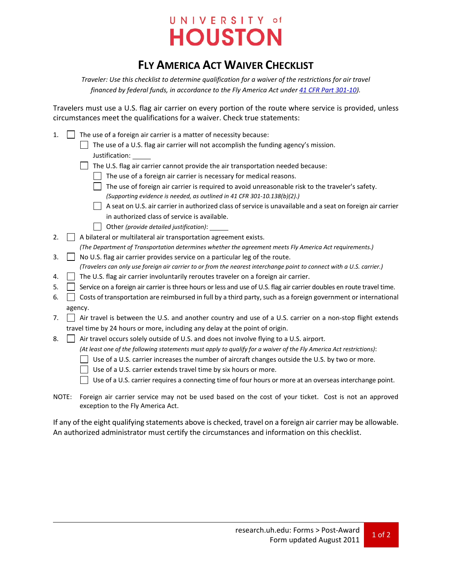## UNIVERSITY of **HOUSTON**

## **FLY AMERICA ACT WAIVER CHECKLIST**

*Traveler: Use this checklist to determine qualification for a waiver of the restrictions for air travel financed by federal funds, in accordance to the Fly America Act unde[r 41 CFR Part 301-10\)](http://ecfr.gpoaccess.gov/cgi/t/text/text-idx?c=ecfr&sid=0d5c9df0bb1f39581b73471ea76cd343&tpl=/ecfrbrowse/Title41/41cfr301-10_main_02.tpl).*

Travelers must use a U.S. flag air carrier on every portion of the route where service is provided, unless circumstances meet the qualifications for a waiver. Check true statements:

|  | 1. $\Box$ The use of a foreign air carrier is a matter of necessity because:         |
|--|--------------------------------------------------------------------------------------|
|  | The use of a U.S. flag air carrier will not accomplish the funding agency's mission. |
|  | Justification:                                                                       |
|  |                                                                                      |

The U.S. flag air carrier cannot provide the air transportation needed because:

- $\Box$  The use of a foreign air carrier is necessary for medical reasons.
- $\Box$  The use of foreign air carrier is required to avoid unreasonable risk to the traveler's safety. *(Supporting evidence is needed, as outlined in 41 CFR 301-10.138(b)(2).)*
- $\Box$  A seat on U.S. air carrier in authorized class of service is unavailable and a seat on foreign air carrier in authorized class of service is available.
- Other *(provide detailed justification)*:

2.  $\Box$  A bilateral or multilateral air transportation agreement exists. *(The Department of Transportation determines whether the agreement meets Fly America Act requirements.)*

- 3. No U.S. flag air carrier provides service on a particular leg of the route. *(Travelers can only use foreign air carrier to or from the nearest interchange point to connect with a U.S. carrier.)*
- 4.  $\Box$  The U.S. flag air carrier involuntarily reroutes traveler on a foreign air carrier.
- 5. Service on a foreign air carrier is three hours or less and use of U.S. flag air carrier doubles en route travel time.
- 6. Costs of transportation are reimbursed in full by a third party, such as a foreign government or international agency.
- 7.  $\Box$  Air travel is between the U.S. and another country and use of a U.S. carrier on a non-stop flight extends travel time by 24 hours or more, including any delay at the point of origin.
- 8.  $\parallel$  Air travel occurs solely outside of U.S. and does not involve flying to a U.S. airport.
	- *(At least one of the following statements must apply to qualify for a waiver of the Fly America Act restrictions)*:
	- $\Box$  Use of a U.S. carrier increases the number of aircraft changes outside the U.S. by two or more.
	- $\Box$  Use of a U.S. carrier extends travel time by six hours or more.

Use of a U.S. carrier requires a connecting time of four hours or more at an overseas interchange point.

NOTE: Foreign air carrier service may not be used based on the cost of your ticket. Cost is not an approved exception to the Fly America Act.

If any of the eight qualifying statements above is checked, travel on a foreign air carrier may be allowable. An authorized administrator must certify the circumstances and information on this checklist.